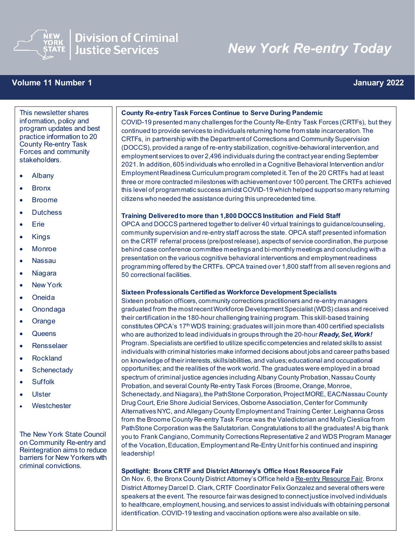

## **Division of Criminal Justice Services**

# *New York Re-entry Today*

### **Volume 11 Number 1 January 2022**

 $\overline{a}$ 

This newsletter shares information, policy and program updates and best practice information to 20 County Re-entry Task Forces and community stakeholders.

- Albany
- Bronx
- Broome
- Dutchess
- Erie
- Kings
- Monroe
- Nassau
- Niagara
- New York
- Oneida
- Onondaga
- Orange
- Queens
- Rensselaer
- Rockland
- Schenectady
- Suffolk
- Ulster
- Westchester

The New York State Council on Community Re-entry and Reintegration aims to reduce barriers for New Yorkers with criminal convictions.

#### **County Re-entry Task Forces Continue to Serve During Pandemic**

COVID-19 presented many challenges for the County Re-Entry Task Forces (CRTFs), but they continued to provide services to individuals returning home from state incarceration.The CRTFs, in partnership with the Department of Corrections and Community Supervision (DOCCS), provided a range of re-entry stabilization, cognitive-behavioral intervention, and employment services to over 2,496 individuals during the contract year ending September 2021. In addition, 605 individuals who enrolled in a Cognitive Behavioral Intervention and/or Employment Readiness Curriculum program completed it. Ten of the 20 CRTFs had at least three or more contracted milestones with achievement over 100 percent. The CRTFs achieved this level of programmatic success amidst COVID-19 which helped support so many returning citizens who needed the assistance during this unprecedented time.

#### **Training Delivered to more than 1,800 DOCCS Institution and Field Staff**

OPCA and DOCCS partnered together to deliver 40 virtual trainings to guidance/counseling, community supervision and re-entry staff across the state. OPCA staff presented information on the CRTF referral process (pre/post release), aspects of service coordination, the purpose behind case conference committee meetings and bi-monthly meetings and concluding with a presentation on the various cognitive behavioral interventions and employment readiness programming offered by the CRTFs. OPCA trained over 1,800 staff from all seven regions and 50 correctional facilities.

#### **Sixteen Professionals Certified as Workforce Development Specialists**

Sixteen probation officers, community corrections practitioners and re-entry managers graduated from the most recent Workforce Development Specialist (WDS) class and received their certification in the 180-hour challenging training program. This skill-based training constitutes OPCA's  $17<sup>th</sup>$ WDS training; graduates will join more than 400 certified specialists who are authorized to lead individuals in groups through the 20-hour *Ready, Set, Work!* Program. Specialists are certified to utilize specific competencies and related skills to assist individuals with criminal histories make informed decisions about jobs and career paths based on knowledge of their interests, skills/abilities, and values; educational and occupational opportunities; and the realities of the work world. The graduates were employed in a broad spectrum of criminal justice agencies including Albany County Probation, Nassau County Probation, and several County Re-entry Task Forces (Broome, Orange, Monroe, Schenectady, and Niagara), the PathStone Corporation, Project MORE, EAC/Nassau County Drug Court, Erie Shore Judicial Services, Osborne Association, Center for Community Alternatives NYC, and Allegany County Employment and Training Center. Leighanna Gross from the Broome County Re-entry Task Force was the Valedictorian and Molly Cieslica from PathStone Corporation was the Salutatorian. Congratulations to all the graduates! A big thank you to Frank Cangiano, Community Corrections Representative 2 and WDS Program Manager of the Vocation, Education, Employment and Re-Entry Unit for his continued and inspiring leadership!

#### **Spotlight: Bronx CRTF and District Attorney's Office Host Resource Fair**

On Nov. 6, the Bronx County District Attorney's Office held [a Re-entry Resource Fair.](https://www.norwoodnews.org/bronx-da-hosts-resource-fair-for-formerly-incarcerated-as-baileys-bill-to-assist-with-job-opportunities-passes/) Bronx District Attorney Darcel D. Clark,CRTF Coordinator Felix Gonzalez and several others were speakers at the event. The resource fair was designed to connect justice involved individuals to healthcare, employment, housing, and services to assist individuals with obtaining personal identification. COVID-19 testing and vaccination options were also available on site.